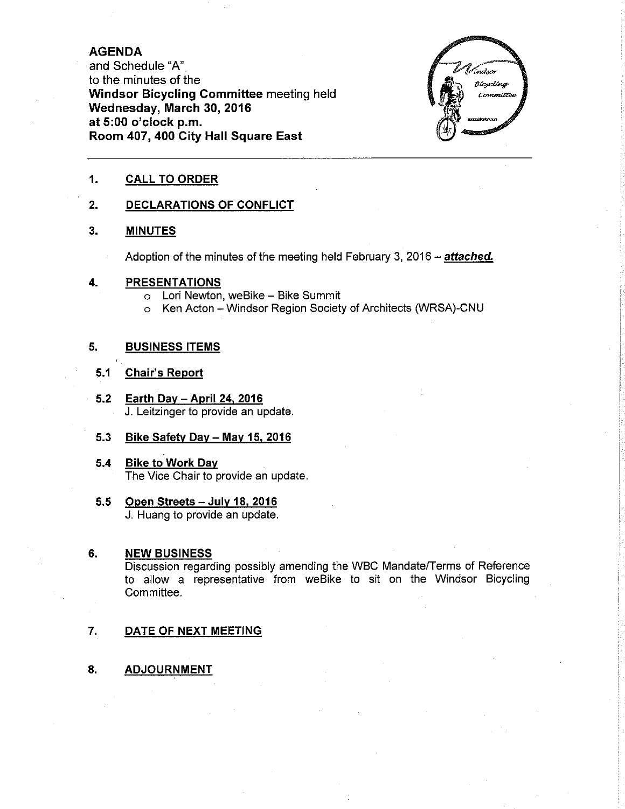### AGENDA

and Schedule "A" to the minutes of the Windsor Bicycling Committee meeting held Wednesday, March 30, 2016 at 5:00 o'clock p.m. Room 407,400 City Hall Square East



#### 1. CALL TO ORDER

#### 2. DECLARATIONS OF CONFLICT

#### 3. MINUTES

Adoption of the minutes of the meeting held February 3, 2016 - attached.

#### 4. PRESENTATIONS

- o Lori Newton, weBike Bike Summit
- o Ken Acton Windsor Region Society of Architects (WRSA)-CNU

### 5, BUSINESS ITEMS

#### 5.1 Ghair's Report

- 5.2 Earth Dav April 24. 2016 J. Leitzinger to provide an update.
- 5.3 Bike Safety Day May 15, 2016
- 5.4 Bike to Work Dav The Vice Chair to provide an update.
- 5.5 Open Streets July 18, 2016 J. Huang to provide an update.

#### 6. NEW BUSINESS

Discussion regarding possibly amending the WBC Mandate/Terms of Reference to allow a representative from weBike to sit on the Windsor BicyclingCommittee.

- 7. DATE OF NEXT MEETING
- 8. ADJOURNMENT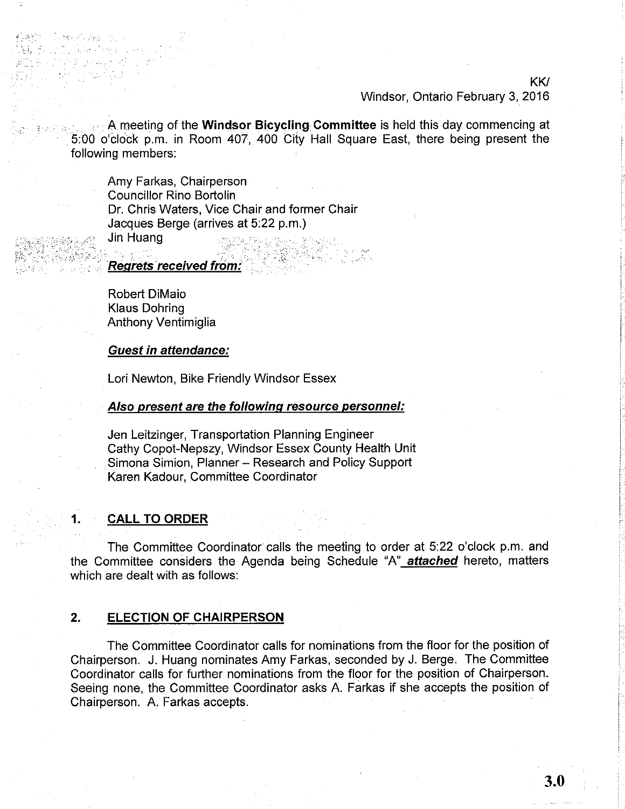KKI

#### Windsor, Ontario February 3, 2016

 $\mathbb{R}^n$  A meeting of the Windsor Bicycling Committee is held this day commencing at 5:00 o'clock p.m. in Room 407,400 City Hall Square East, there being present the following members:

Amy Farkas, Chairperson Councillor Rino Bortolin Dr. Chris Waters, Vice Chair and former Chair Jacques Berge (arrives at 5:22 p.m.)

Jin Huang

.

Details ago

.,.". .j :...ì::','=:',.

Regrets received from:

Robert DiMaio Klaus Dohring Anthony Ventimiglia

Guest in attendance:

Lori Newton, Bike Friendly Windsor Essex

#### AIso present are the followinq resource personnel:

Jen Leitzinger, Transportation Planning Engineer Cathy Copot-Nepszy, Windsor Essex County Health Unit Simona Simion, Planner - Research and Policy Support Karen Kadour, Committee Coordinator

## 1, CALL TO ORDER

The Committee Coordinator calls the meeting to order at 5:22 o'clock p.m. and the Committee considers the Agenda being Schedule "A" attached hereto, matters which are dealt with as follows:

#### 2. **ELECTION OF CHAIRPERSON**

The Committee Coordinator calls for nominations from the floor for the position of Chairperson. J. Huang nominates Amy Farkas, seconded by J. Berge. The Committee Coordinator calls for further nominations from the floor for the position of Chairperson. Seeing none, the Committee Coordinator asks A. Farkas if she accepts the position of Chairperson. A. Farkas accepts.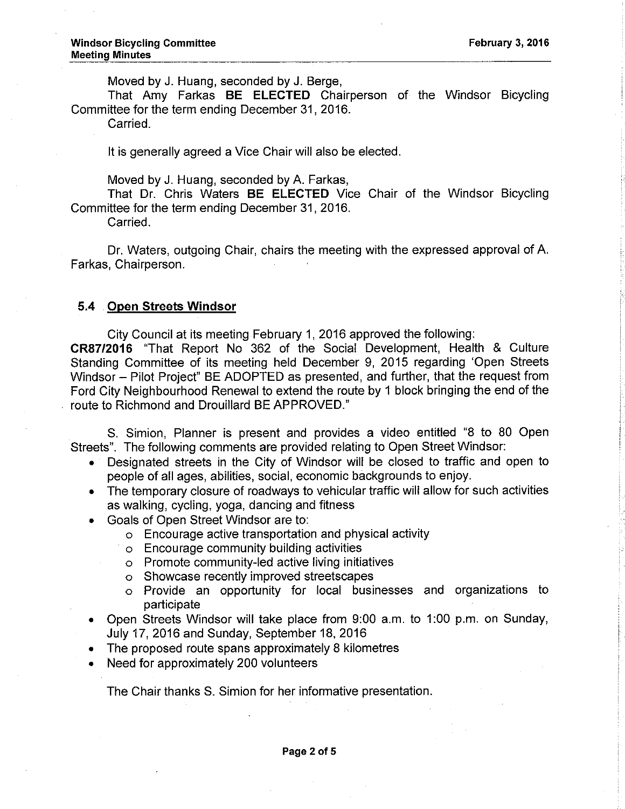Moved by J. Huang, seconded by J. Berge,

That Amy Farkas BE ELECTED Chairperson of the Windsor Bicycling Committee for the term ending December 3l, 2016.

Carried.

It is generally agreed a Vice Chair will also be elected.

Moved by J. Huang, seconded by A. Farkas,

That Dr. Chris Waters BE ELECTED Vice Chair of the Windsor Bicycling Committee for the term ending December 31, 2016.

Carried.

Dr. Waters, outgoing Chair, chairs the meeting with the expressed approval of A. Farkas, Chairperson.

#### 5.4 Open Streets Windsor

City Council at its meeting February 1, 2016 approved the following:

CR87/2016 "That Report No 362 of the Social Development, Health & Culture Standing Committee of its meeting held December 9, 2015 regarding 'Open Streets Windsor - Pilot Project" BE ADOPTED as presented, and further, that the request from Ford City Neighbourhood Renewal to extend the route by 1 block bringing the end of the route to Richmond and Drouillard BE APPROVED.'

S. Simion, Planner is present and provides a video entitled "8 to 80 Open Streets". The following comments are provided relating to Open Street Windsor:

- . Designated streets in the City of Windsor will be closed to traffic and open to people of all ages, abilities, social, economic backgrounds to enjoy.
- . The temporary closure of roadways to vehicular traffic will allow for such activities as walking, cycling, yoga, dancing and fitness
- . Goals of Open Street Windsor are to:
	- o Encourage active transportation and physical activity
	- o Encourage community building activities
	- o Promote community-led active living initiatives
	- o Showcase recently improved streetscapes
	- o Provide an opportunity for local businesses and organizations to participate
- . Open Streets Windsor will take place from 9:00 a.m. to 1:00 p.m. on Sunday, July 17,2016 and Sunday, September 18,2016
- The proposed route spans approximately 8 kilometres
- . Need for approximately 200 volunteers

The Chair thanks S. Simion for her informative presentation.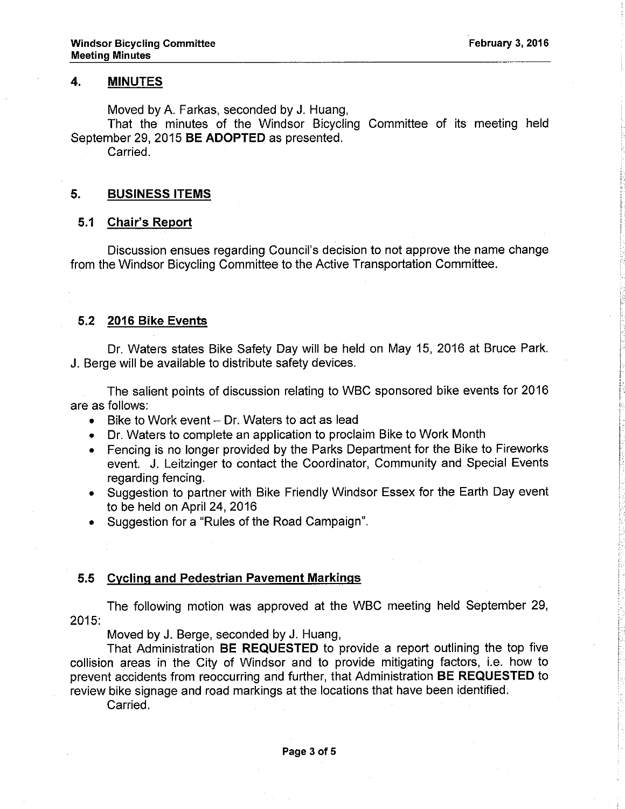### 4, MINUTES

Moved byA. Farkas, seconded by J. Huang,

That the minutes of the Windsor Bicycling Committee of its meeting held September 29, 2015 BE ADOPTED as presented.

Carried.

### 5. BUSINESS ITEMS

### 5.1 Chair's Report

Discussion ensues regarding Council's decision to not approve the name change from the Windsor Bicycling Committee to the Active Transportation Committee.

### 5.2 2016 Bike Events

Dr. Waters states Bike Safety Day will be held on May 15, 2016 at Bruce Park. J. Berge will be available to distribute safety devices.

The salient points of discussion relating to WBC sponsored bike events for 2016 are as follows:

- $\bullet$  Bike to Work event  $-$  Dr. Waters to act as lead
- . Dr. Waters to complete an application to proclaim Bike to Work Month
- . Fencing is no longer provided by the Parks Department for the Bike to Fireworks event. J. Leitzinger to contact the Coordinator, Community and Special Events regarding fencing.
- . Suggestion to partner with Bike Friendly Windsor Essex for the Earth Day event to be held on April 24,2016
- . Suggestion for a "Rules of the Road Campaign".

### 5.5 Cyclinq and Pedestrian Pavement Markinqs

The following motion was approved at the WBC meeting held September 29, 2015:

Moved by J. Berge, seconded by J. Huang,

That Administration BE REQUESTED to provide a report outlining the top five collision areas in the City of Windsor and to provide mitigating factors, i.e. how to prevent accidents from reoccurring and further, that Administration BE REQUESTED to review bike signage and road markings at the locations that have been identified.

Carried.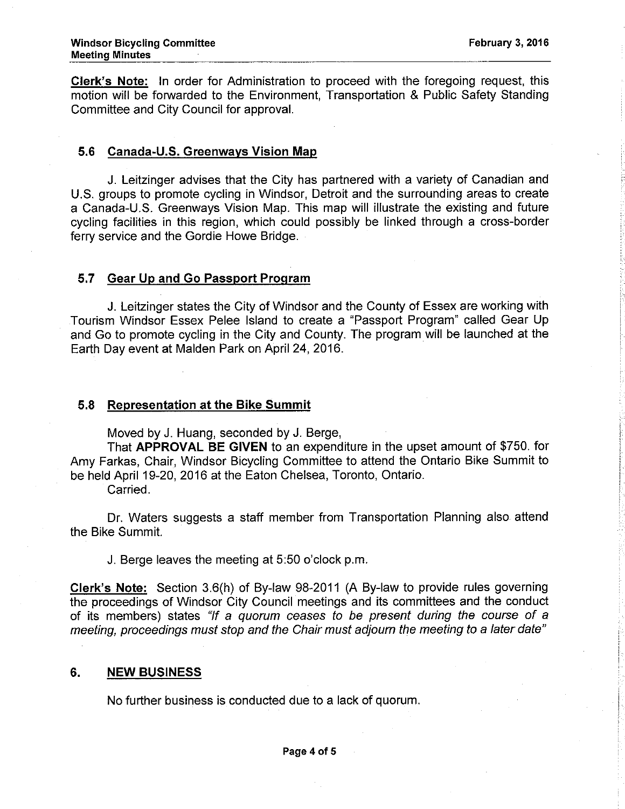Clerk's Note: In order for Administration to proceed with the foregoing request, this motion will be forwarded to the Environment, Transportation & Public Safety Standing Committee and City Council for approval.

### 5.6 Canada-U.S. Greenwavs Vision Map

J. Leitzinger advises that the City has partnered with a variety of Canadian and U.S. groups to promote cycling in Windsor, Detroit and the surrounding areas to create a Canada-U.S. Greenways Vision Map. This map will illustrate the existing and future cycling facilities in this region, which could possibly be linked through a cross-border ferry service and the Gordie Howe Bridge.

# 5.7 Gear Up and Go Passport Proqram

J. Leitzinger states the City of Windsor and the County of Essex are working with Tourism Windsor Essex Pelee lsland to create a "Passport Program" called Gear Up and Go to promote cycling in the City and County. The program will be launched at the Earth Day event at Malden Park on April 24,2016.

#### 5.8 Representation at the Bike Summit

Moved by J. Huang, seconded by J. Berge,

That APPROVAL BE GIVEN to an expenditure in the upset amount of \$750. for Amy Farkas, Chair, Windsor Bicycling Committee to attend the Ontario Bike Summit to be held April 19-20, 2016 at the Eaton Chelsea, Toronto, Ontario.

Carried.

Dr. Waters suggests a staff member from Transportation Planning also attend the Bike Summit.

J. Berge leaves the meeting at 5:50 o'clock p.m.

Clerk's Note: Section 3.6(h) of By-law 98-2011 (A By-law to provide rules governing the proceedings of Windsor City Council meetings and its committees and the conduct of its members) states "lf a quorum ceases fo be present during the course of a meeting, proceedings must stop and the Chair must adjourn the meeting to a later date"

#### 6. NEW BUSINESS

No further business is conducted due to a lack of quorum.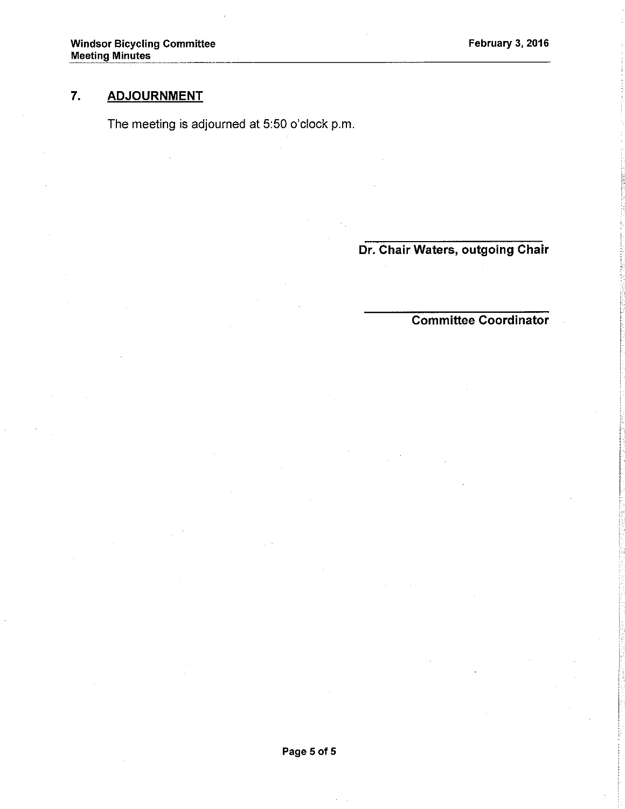# 7, ADJOURNMENT

The meeting is adjourned at 5:50 o'clock p.m.

Dr. Chair Waters, outgoing Chair

Gommittee Coordinator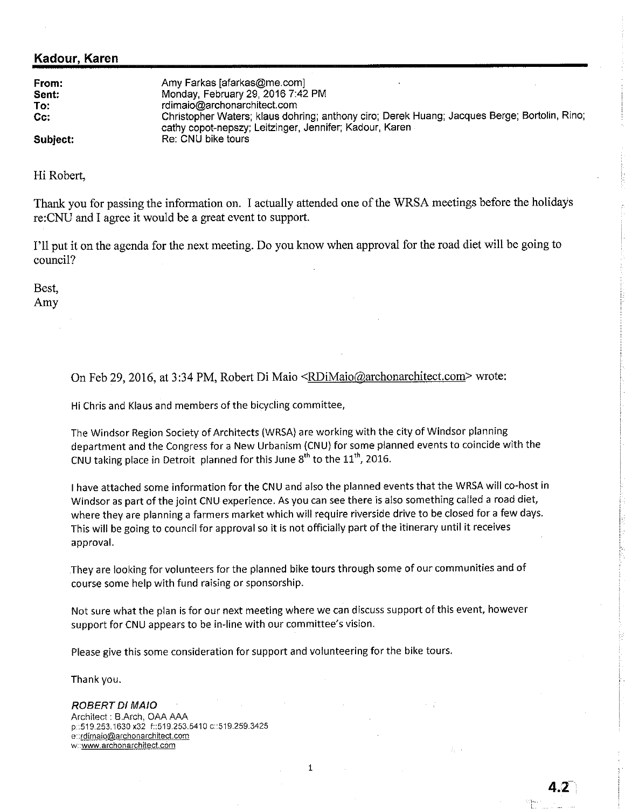### Kadour, Karen

| From:<br>Sent: | Amy Farkas [afarkas@me.com]<br>Monday, February 29, 2016 7:42 PM                                                                                        |
|----------------|---------------------------------------------------------------------------------------------------------------------------------------------------------|
|                |                                                                                                                                                         |
| To:            | rdimaio@archonarchitect.com                                                                                                                             |
| $Cc$ :         | Christopher Waters; klaus dohring; anthony ciro; Derek Huang; Jacques Berge; Bortolin, Rino;<br>cathy copot-nepszy; Leitzinger, Jennifer; Kadour, Karen |
| Subject:       | Re: CNU bike tours                                                                                                                                      |

Hi Roberl,

Thank you for passing the information on. I actually attended one of the WRSA meetings before the holidays re:CNU and I agree it would be a great event to support.

I'11 put it on the agenda for the next meeting. Do you know when approval for the road diet will be going to council?

Best, Amy

On Feb 29, 2016, at 3:34 PM, Robert Di Maio <RDiMaio@archonarchitect.com> wrote:

Hi Chris and Klaus and members of the bicycling committee,

The Windsor Region Society of Architects (WRSA) are working with the city of Windsor planning department and the Congress for a New Urbanism (CNU) for some planned events to coincide with the CNU taking place in Detroit planned for this June  $8<sup>th</sup>$  to the  $11<sup>th</sup>$ , 2016.

<sup>I</sup>have attached some information for the CNU and also the planned events that the WRSA will co-host in Windsor as part of the joint CNU experience. As you can see there is also something called a road diet, where they are planning a farmers market which will require riverside drive to be closed for a few days. This will be going to council for approval so it is not officially part of the itinerary until it receives approval,

They are looking for volunteers for the planned bike tours through some of our communities and of course some help with fund raising or sponsorship.

Not sure what the plan is for our next meeting where we can discuss support of this event, however support for CNU appears to be in-line with our committee's vision.

Please give this some consideration for support and volunteering for the bike tours.

Thank you.

#### ROBERT DI MAIO

Archltect : B.Arch, OAA AAA p::519.253. 1630 x32 f::519.253.5410 c::519.259.3425 e::rdimaio@archonarchitect.com w: www.archonarchitect.com

 $\mathbf{1}$